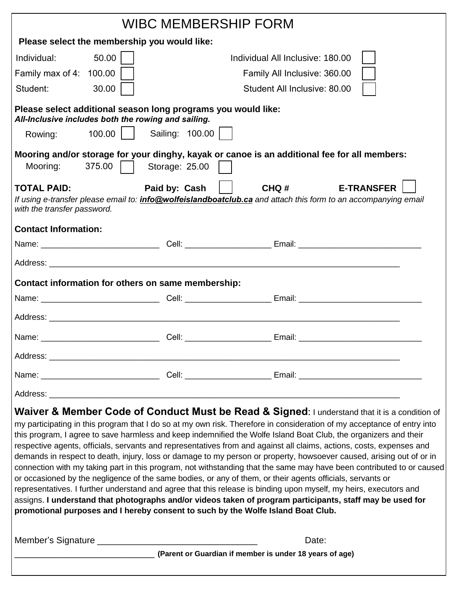| <b>WIBC MEMBERSHIP FORM</b>                                                                                                                                                                    |          |                                                         |                              |       |                                                                                                                                                                                                                                                                                                                                                                                                                                                                                                                                                                                                                                                                                                                                                                                                                                                                                                                                                         |  |
|------------------------------------------------------------------------------------------------------------------------------------------------------------------------------------------------|----------|---------------------------------------------------------|------------------------------|-------|---------------------------------------------------------------------------------------------------------------------------------------------------------------------------------------------------------------------------------------------------------------------------------------------------------------------------------------------------------------------------------------------------------------------------------------------------------------------------------------------------------------------------------------------------------------------------------------------------------------------------------------------------------------------------------------------------------------------------------------------------------------------------------------------------------------------------------------------------------------------------------------------------------------------------------------------------------|--|
| Please select the membership you would like:                                                                                                                                                   |          |                                                         |                              |       |                                                                                                                                                                                                                                                                                                                                                                                                                                                                                                                                                                                                                                                                                                                                                                                                                                                                                                                                                         |  |
| Individual:                                                                                                                                                                                    | 50.00    | Individual All Inclusive: 180.00                        |                              |       |                                                                                                                                                                                                                                                                                                                                                                                                                                                                                                                                                                                                                                                                                                                                                                                                                                                                                                                                                         |  |
| Family max of 4: $100.00$                                                                                                                                                                      |          | Family All Inclusive: 360.00                            |                              |       |                                                                                                                                                                                                                                                                                                                                                                                                                                                                                                                                                                                                                                                                                                                                                                                                                                                                                                                                                         |  |
| Student:                                                                                                                                                                                       | 30.00    |                                                         | Student All Inclusive: 80.00 |       |                                                                                                                                                                                                                                                                                                                                                                                                                                                                                                                                                                                                                                                                                                                                                                                                                                                                                                                                                         |  |
| Please select additional season long programs you would like:<br>All-Inclusive includes both the rowing and sailing.                                                                           |          |                                                         |                              |       |                                                                                                                                                                                                                                                                                                                                                                                                                                                                                                                                                                                                                                                                                                                                                                                                                                                                                                                                                         |  |
| Rowing:                                                                                                                                                                                        | $100.00$ | Sailing: 100.00                                         |                              |       |                                                                                                                                                                                                                                                                                                                                                                                                                                                                                                                                                                                                                                                                                                                                                                                                                                                                                                                                                         |  |
| Mooring:                                                                                                                                                                                       | 375.00   | Storage: 25.00                                          |                              |       | Mooring and/or storage for your dinghy, kayak or canoe is an additional fee for all members:                                                                                                                                                                                                                                                                                                                                                                                                                                                                                                                                                                                                                                                                                                                                                                                                                                                            |  |
| <b>TOTAL PAID:</b><br>with the transfer password.                                                                                                                                              |          | Paid by: Cash                                           |                              | CHQ#  | <b>E-TRANSFER</b><br>If using e-transfer please email to: <i>info@wolfeislandboatclub.ca</i> and attach this form to an accompanying email                                                                                                                                                                                                                                                                                                                                                                                                                                                                                                                                                                                                                                                                                                                                                                                                              |  |
| <b>Contact Information:</b>                                                                                                                                                                    |          |                                                         |                              |       |                                                                                                                                                                                                                                                                                                                                                                                                                                                                                                                                                                                                                                                                                                                                                                                                                                                                                                                                                         |  |
|                                                                                                                                                                                                |          |                                                         |                              |       |                                                                                                                                                                                                                                                                                                                                                                                                                                                                                                                                                                                                                                                                                                                                                                                                                                                                                                                                                         |  |
|                                                                                                                                                                                                |          |                                                         |                              |       |                                                                                                                                                                                                                                                                                                                                                                                                                                                                                                                                                                                                                                                                                                                                                                                                                                                                                                                                                         |  |
| Contact information for others on same membership:                                                                                                                                             |          |                                                         |                              |       |                                                                                                                                                                                                                                                                                                                                                                                                                                                                                                                                                                                                                                                                                                                                                                                                                                                                                                                                                         |  |
|                                                                                                                                                                                                |          |                                                         |                              |       |                                                                                                                                                                                                                                                                                                                                                                                                                                                                                                                                                                                                                                                                                                                                                                                                                                                                                                                                                         |  |
|                                                                                                                                                                                                |          |                                                         |                              |       |                                                                                                                                                                                                                                                                                                                                                                                                                                                                                                                                                                                                                                                                                                                                                                                                                                                                                                                                                         |  |
|                                                                                                                                                                                                |          |                                                         |                              |       |                                                                                                                                                                                                                                                                                                                                                                                                                                                                                                                                                                                                                                                                                                                                                                                                                                                                                                                                                         |  |
|                                                                                                                                                                                                |          |                                                         |                              |       |                                                                                                                                                                                                                                                                                                                                                                                                                                                                                                                                                                                                                                                                                                                                                                                                                                                                                                                                                         |  |
|                                                                                                                                                                                                |          |                                                         |                              |       |                                                                                                                                                                                                                                                                                                                                                                                                                                                                                                                                                                                                                                                                                                                                                                                                                                                                                                                                                         |  |
|                                                                                                                                                                                                |          |                                                         |                              |       |                                                                                                                                                                                                                                                                                                                                                                                                                                                                                                                                                                                                                                                                                                                                                                                                                                                                                                                                                         |  |
| or occasioned by the negligence of the same bodies, or any of them, or their agents officials, servants or<br>promotional purposes and I hereby consent to such by the Wolfe Island Boat Club. |          |                                                         |                              |       | Waiver & Member Code of Conduct Must be Read & Signed: I understand that it is a condition of<br>my participating in this program that I do so at my own risk. Therefore in consideration of my acceptance of entry into<br>this program, I agree to save harmless and keep indemnified the Wolfe Island Boat Club, the organizers and their<br>respective agents, officials, servants and representatives from and against all claims, actions, costs, expenses and<br>demands in respect to death, injury, loss or damage to my person or property, howsoever caused, arising out of or in<br>connection with my taking part in this program, not withstanding that the same may have been contributed to or caused<br>representatives. I further understand and agree that this release is binding upon myself, my heirs, executors and<br>assigns. I understand that photographs and/or videos taken of program participants, staff may be used for |  |
|                                                                                                                                                                                                |          |                                                         |                              | Date: |                                                                                                                                                                                                                                                                                                                                                                                                                                                                                                                                                                                                                                                                                                                                                                                                                                                                                                                                                         |  |
|                                                                                                                                                                                                |          | (Parent or Guardian if member is under 18 years of age) |                              |       |                                                                                                                                                                                                                                                                                                                                                                                                                                                                                                                                                                                                                                                                                                                                                                                                                                                                                                                                                         |  |
|                                                                                                                                                                                                |          |                                                         |                              |       |                                                                                                                                                                                                                                                                                                                                                                                                                                                                                                                                                                                                                                                                                                                                                                                                                                                                                                                                                         |  |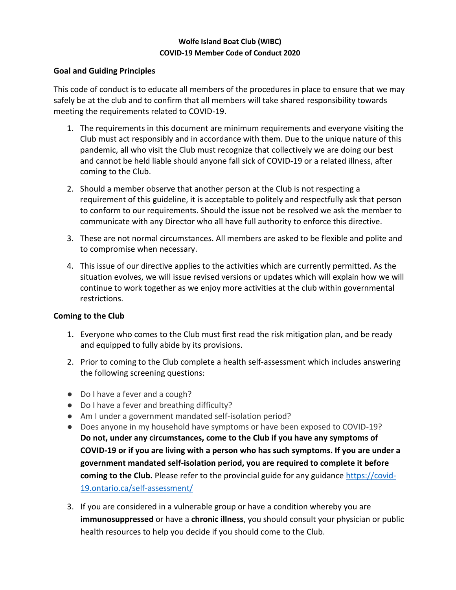# **Wolfe Island Boat Club (WIBC) COVID-19 Member Code of Conduct 2020**

# **Goal and Guiding Principles**

This code of conduct is to educate all members of the procedures in place to ensure that we may safely be at the club and to confirm that all members will take shared responsibility towards meeting the requirements related to COVID-19.

- 1. The requirements in this document are minimum requirements and everyone visiting the Club must act responsibly and in accordance with them. Due to the unique nature of this pandemic, all who visit the Club must recognize that collectively we are doing our best and cannot be held liable should anyone fall sick of COVID-19 or a related illness, after coming to the Club.
- 2. Should a member observe that another person at the Club is not respecting a requirement of this guideline, it is acceptable to politely and respectfully ask that person to conform to our requirements. Should the issue not be resolved we ask the member to communicate with any Director who all have full authority to enforce this directive.
- 3. These are not normal circumstances. All members are asked to be flexible and polite and to compromise when necessary.
- 4. This issue of our directive applies to the activities which are currently permitted. As the situation evolves, we will issue revised versions or updates which will explain how we will continue to work together as we enjoy more activities at the club within governmental restrictions.

# **Coming to the Club**

- 1. Everyone who comes to the Club must first read the risk mitigation plan, and be ready and equipped to fully abide by its provisions.
- 2. Prior to coming to the Club complete a health self-assessment which includes answering the following screening questions:
- Do I have a fever and a cough?
- Do I have a fever and breathing difficulty?
- Am I under a government mandated self-isolation period?
- Does anyone in my household have symptoms or have been exposed to COVID-19? **Do not, under any circumstances, come to the Club if you have any symptoms of COVID-19 or if you are living with a person who has such symptoms. If you are under a government mandated self-isolation period, you are required to complete it before coming to the Club.** Please refer to the provincial guide for any guidance [https://covid-](https://covid-19.ontario.ca/self-assessment/)[19.ontario.ca/self-assessment/](https://covid-19.ontario.ca/self-assessment/)
- 3. If you are considered in a vulnerable group or have a condition whereby you are **immunosuppressed** or have a **chronic illness**, you should consult your physician or public health resources to help you decide if you should come to the Club.